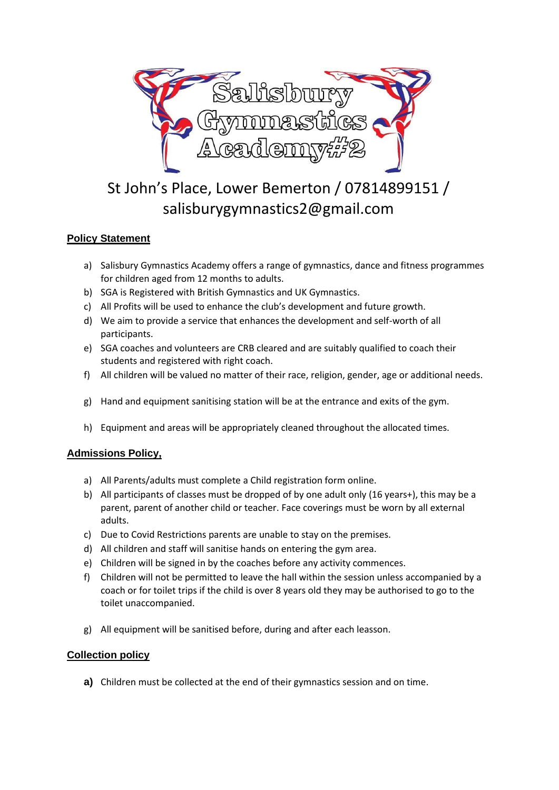

# St John's Place, Lower Bemerton / 07814899151 / salisburygymnastics2@gmail.com

# **Policy Statement**

- a) Salisbury Gymnastics Academy offers a range of gymnastics, dance and fitness programmes for children aged from 12 months to adults.
- b) SGA is Registered with British Gymnastics and UK Gymnastics.
- c) All Profits will be used to enhance the club's development and future growth.
- d) We aim to provide a service that enhances the development and self-worth of all participants.
- e) SGA coaches and volunteers are CRB cleared and are suitably qualified to coach their students and registered with right coach.
- f) All children will be valued no matter of their race, religion, gender, age or additional needs.
- g) Hand and equipment sanitising station will be at the entrance and exits of the gym.
- h) Equipment and areas will be appropriately cleaned throughout the allocated times.

## **Admissions Policy,**

- a) All Parents/adults must complete a Child registration form online.
- b) All participants of classes must be dropped of by one adult only (16 years+), this may be a parent, parent of another child or teacher. Face coverings must be worn by all external adults.
- c) Due to Covid Restrictions parents are unable to stay on the premises.
- d) All children and staff will sanitise hands on entering the gym area.
- e) Children will be signed in by the coaches before any activity commences.
- f) Children will not be permitted to leave the hall within the session unless accompanied by a coach or for toilet trips if the child is over 8 years old they may be authorised to go to the toilet unaccompanied.
- g) All equipment will be sanitised before, during and after each leasson.

## **Collection policy**

**a)** Children must be collected at the end of their gymnastics session and on time.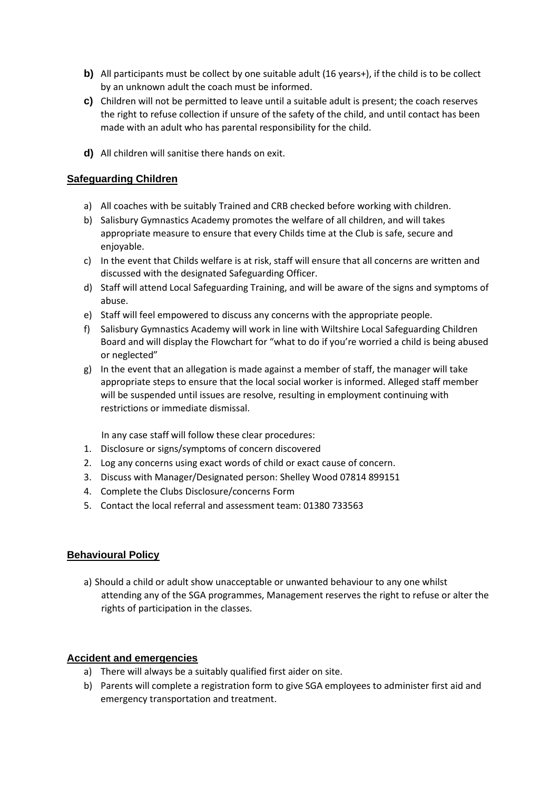- **b)** All participants must be collect by one suitable adult (16 years+), if the child is to be collect by an unknown adult the coach must be informed.
- **c)** Children will not be permitted to leave until a suitable adult is present; the coach reserves the right to refuse collection if unsure of the safety of the child, and until contact has been made with an adult who has parental responsibility for the child.
- **d)** All children will sanitise there hands on exit.

## **Safeguarding Children**

- a) All coaches with be suitably Trained and CRB checked before working with children.
- b) Salisbury Gymnastics Academy promotes the welfare of all children, and will takes appropriate measure to ensure that every Childs time at the Club is safe, secure and enjoyable.
- c) In the event that Childs welfare is at risk, staff will ensure that all concerns are written and discussed with the designated Safeguarding Officer.
- d) Staff will attend Local Safeguarding Training, and will be aware of the signs and symptoms of abuse.
- e) Staff will feel empowered to discuss any concerns with the appropriate people.
- f) Salisbury Gymnastics Academy will work in line with Wiltshire Local Safeguarding Children Board and will display the Flowchart for "what to do if you're worried a child is being abused or neglected"
- g) In the event that an allegation is made against a member of staff, the manager will take appropriate steps to ensure that the local social worker is informed. Alleged staff member will be suspended until issues are resolve, resulting in employment continuing with restrictions or immediate dismissal.

In any case staff will follow these clear procedures:

- 1. Disclosure or signs/symptoms of concern discovered
- 2. Log any concerns using exact words of child or exact cause of concern.
- 3. Discuss with Manager/Designated person: Shelley Wood 07814 899151
- 4. Complete the Clubs Disclosure/concerns Form
- 5. Contact the local referral and assessment team: 01380 733563

## **Behavioural Policy**

a) Should a child or adult show unacceptable or unwanted behaviour to any one whilst attending any of the SGA programmes, Management reserves the right to refuse or alter the rights of participation in the classes.

## **Accident and emergencies**

- a) There will always be a suitably qualified first aider on site.
- b) Parents will complete a registration form to give SGA employees to administer first aid and emergency transportation and treatment.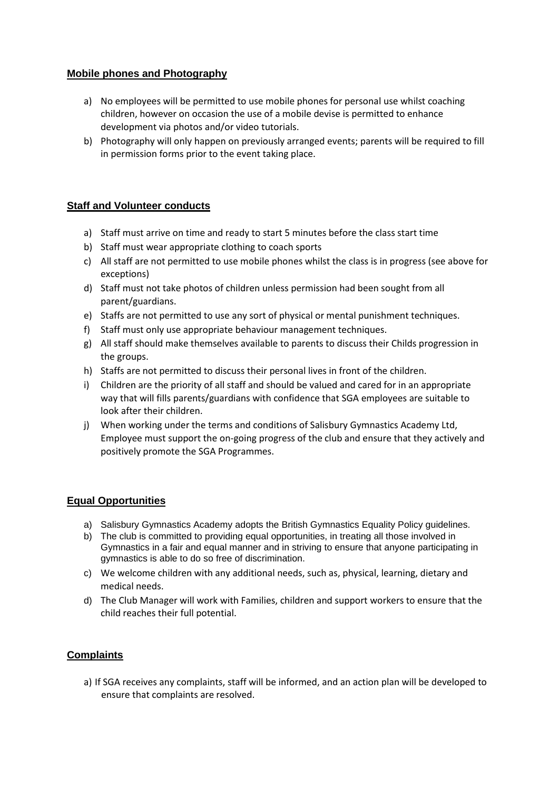#### **Mobile phones and Photography**

- a) No employees will be permitted to use mobile phones for personal use whilst coaching children, however on occasion the use of a mobile devise is permitted to enhance development via photos and/or video tutorials.
- b) Photography will only happen on previously arranged events; parents will be required to fill in permission forms prior to the event taking place.

#### **Staff and Volunteer conducts**

- a) Staff must arrive on time and ready to start 5 minutes before the class start time
- b) Staff must wear appropriate clothing to coach sports
- c) All staff are not permitted to use mobile phones whilst the class is in progress (see above for exceptions)
- d) Staff must not take photos of children unless permission had been sought from all parent/guardians.
- e) Staffs are not permitted to use any sort of physical or mental punishment techniques.
- f) Staff must only use appropriate behaviour management techniques.
- g) All staff should make themselves available to parents to discuss their Childs progression in the groups.
- h) Staffs are not permitted to discuss their personal lives in front of the children.
- i) Children are the priority of all staff and should be valued and cared for in an appropriate way that will fills parents/guardians with confidence that SGA employees are suitable to look after their children.
- j) When working under the terms and conditions of Salisbury Gymnastics Academy Ltd, Employee must support the on-going progress of the club and ensure that they actively and positively promote the SGA Programmes.

#### **Equal Opportunities**

- a) Salisbury Gymnastics Academy adopts the British Gymnastics Equality Policy guidelines.
- b) The club is committed to providing equal opportunities, in treating all those involved in Gymnastics in a fair and equal manner and in striving to ensure that anyone participating in gymnastics is able to do so free of discrimination.
- c) We welcome children with any additional needs, such as, physical, learning, dietary and medical needs.
- d) The Club Manager will work with Families, children and support workers to ensure that the child reaches their full potential.

#### **Complaints**

a) If SGA receives any complaints, staff will be informed, and an action plan will be developed to ensure that complaints are resolved.